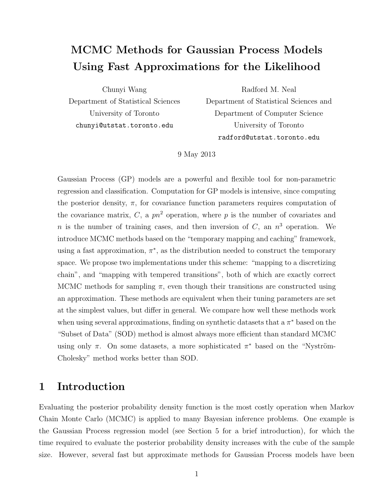# MCMC Methods for Gaussian Process Models Using Fast Approximations for the Likelihood

Chunyi Wang Department of Statistical Sciences University of Toronto chunyi@utstat.toronto.edu

Radford M. Neal

Department of Statistical Sciences and Department of Computer Science University of Toronto radford@utstat.toronto.edu

9 May 2013

Gaussian Process (GP) models are a powerful and flexible tool for non-parametric regression and classification. Computation for GP models is intensive, since computing the posterior density,  $\pi$ , for covariance function parameters requires computation of the covariance matrix, C, a  $pn^2$  operation, where p is the number of covariates and *n* is the number of training cases, and then inversion of  $C$ , an  $n<sup>3</sup>$  operation. We introduce MCMC methods based on the "temporary mapping and caching" framework, using a fast approximation,  $\pi^*$ , as the distribution needed to construct the temporary space. We propose two implementations under this scheme: "mapping to a discretizing chain", and "mapping with tempered transitions", both of which are exactly correct MCMC methods for sampling  $\pi$ , even though their transitions are constructed using an approximation. These methods are equivalent when their tuning parameters are set at the simplest values, but differ in general. We compare how well these methods work when using several approximations, finding on synthetic datasets that a  $\pi^*$  based on the "Subset of Data" (SOD) method is almost always more efficient than standard MCMC using only  $\pi$ . On some datasets, a more sophisticated  $\pi^*$  based on the "Nyström-Cholesky" method works better than SOD.

# 1 Introduction

Evaluating the posterior probability density function is the most costly operation when Markov Chain Monte Carlo (MCMC) is applied to many Bayesian inference problems. One example is the Gaussian Process regression model (see Section 5 for a brief introduction), for which the time required to evaluate the posterior probability density increases with the cube of the sample size. However, several fast but approximate methods for Gaussian Process models have been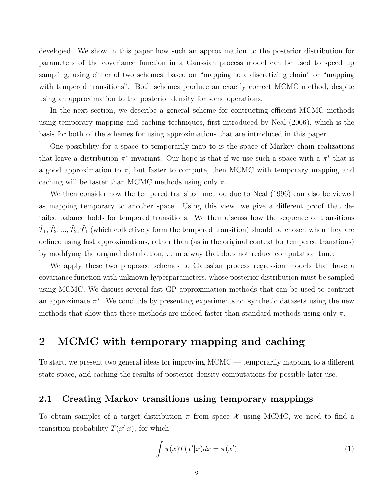developed. We show in this paper how such an approximation to the posterior distribution for parameters of the covariance function in a Gaussian process model can be used to speed up sampling, using either of two schemes, based on "mapping to a discretizing chain" or "mapping with tempered transitions". Both schemes produce an exactly correct MCMC method, despite using an approximation to the posterior density for some operations.

In the next section, we describe a general scheme for contructing efficient MCMC methods using temporary mapping and caching techniques, first introduced by Neal (2006), which is the basis for both of the schemes for using approximations that are introduced in this paper.

One possibility for a space to temporarily map to is the space of Markov chain realizations that leave a distribution  $\pi^*$  invariant. Our hope is that if we use such a space with a  $\pi^*$  that is a good approximation to  $\pi$ , but faster to compute, then MCMC with temporary mapping and caching will be faster than MCMC methods using only  $\pi$ .

We then consider how the tempered transiton method due to Neal (1996) can also be viewed as mapping temporary to another space. Using this view, we give a different proof that detailed balance holds for tempered transitions. We then discuss how the sequence of transitions  $(\hat{T}_1, \hat{T}_2, ..., \check{T}_2, \check{T}_1)$  (which collectively form the tempered transition) should be chosen when they are defined using fast approximations, rather than (as in the original context for tempered transtions) by modifying the original distribution,  $\pi$ , in a way that does not reduce computation time.

We apply these two proposed schemes to Gaussian process regression models that have a covariance function with unknown hyperparameters, whose posterior distribution must be sampled using MCMC. We discuss several fast GP approximation methods that can be used to contruct an approximate  $\pi^*$ . We conclude by presenting experiments on synthetic datasets using the new methods that show that these methods are indeed faster than standard methods using only  $\pi$ .

# 2 MCMC with temporary mapping and caching

To start, we present two general ideas for improving MCMC — temporarily mapping to a different state space, and caching the results of posterior density computations for possible later use.

### 2.1 Creating Markov transitions using temporary mappings

To obtain samples of a target distribution  $\pi$  from space X using MCMC, we need to find a transition probability  $T(x'|x)$ , for which

$$
\int \pi(x)T(x'|x)dx = \pi(x')
$$
\n(1)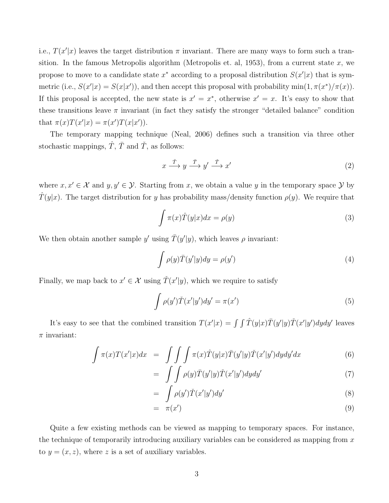i.e.,  $T(x'|x)$  leaves the target distribution  $\pi$  invariant. There are many ways to form such a transition. In the famous Metropolis algorithm (Metropolis et. al, 1953), from a current state x, we propose to move to a candidate state  $x^*$  according to a proposal distribution  $S(x'|x)$  that is symmetric (i.e.,  $S(x'|x) = S(x|x')$ ), and then accept this proposal with probability min $(1, \pi(x^*)/\pi(x))$ . If this proposal is accepted, the new state is  $x' = x^*$ , otherwise  $x' = x$ . It's easy to show that these transitions leave  $\pi$  invariant (in fact they satisfy the stronger "detailed balance" condition that  $\pi(x)T(x'|x) = \pi(x')T(x|x')$ .

The temporary mapping technique (Neal, 2006) defines such a transition via three other stochastic mappings,  $\hat{T}$ ,  $\overline{T}$  and  $\check{T}$ , as follows:

$$
x \xrightarrow{\hat{T}} y \xrightarrow{\bar{T}} y' \xrightarrow{\check{T}} x'
$$
 (2)

where  $x, x' \in \mathcal{X}$  and  $y, y' \in \mathcal{Y}$ . Starting from x, we obtain a value y in the temporary space Y by  $T(y|x)$ . The target distribution for y has probability mass/density function  $\rho(y)$ . We require that

$$
\int \pi(x)\hat{T}(y|x)dx = \rho(y)
$$
\n(3)

We then obtain another sample y' using  $\bar{T}(y'|y)$ , which leaves  $\rho$  invariant:

$$
\int \rho(y)\bar{T}(y'|y)dy = \rho(y')\tag{4}
$$

Finally, we map back to  $x' \in \mathcal{X}$  using  $\check{T}(x'|y)$ , which we require to satisfy

$$
\int \rho(y')\check{T}(x'|y')dy' = \pi(x')
$$
\n(5)

It's easy to see that the combined transition  $T(x'|x) = \int \int \hat{T}(y|x)\overline{T}(y'|y)\hat{T}(x'|y')dydy'$  leaves  $\pi$  invariant:

$$
\int \pi(x)T(x'|x)dx = \int \int \int \pi(x)\hat{T}(y|x)\bar{T}(y'|y)\check{T}(x'|y')dydy'dx \tag{6}
$$

$$
= \int\int \rho(y)\bar{T}(y'|y)\check{T}(x'|y')dydy'
$$
\n(7)

$$
= \int \rho(y')\check{T}(x'|y')dy' \tag{8}
$$

$$
= \pi(x') \tag{9}
$$

Quite a few existing methods can be viewed as mapping to temporary spaces. For instance, the technique of temporarily introducing auxiliary variables can be considered as mapping from  $x$ to  $y = (x, z)$ , where z is a set of auxiliary variables.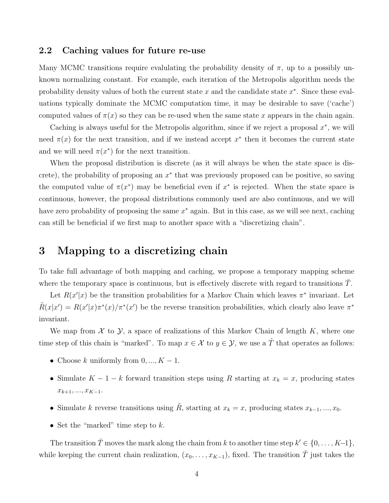### 2.2 Caching values for future re-use

Many MCMC transitions require evalulating the probability density of  $\pi$ , up to a possibly unknown normalizing constant. For example, each iteration of the Metropolis algorithm needs the probability density values of both the current state  $x$  and the candidate state  $x^*$ . Since these evaluations typically dominate the MCMC computation time, it may be desirable to save ('cache') computed values of  $\pi(x)$  so they can be re-used when the same state x appears in the chain again.

Caching is always useful for the Metropolis algorithm, since if we reject a proposal  $x^*$ , we will need  $\pi(x)$  for the next transition, and if we instead accept  $x^*$  then it becomes the current state and we will need  $\pi(x^*)$  for the next transition.

When the proposal distribution is discrete (as it will always be when the state space is discrete), the probability of proposing an  $x^*$  that was previously proposed can be positive, so saving the computed value of  $\pi(x^*)$  may be beneficial even if  $x^*$  is rejected. When the state space is continuous, however, the proposal distributions commonly used are also continuous, and we will have zero probability of proposing the same  $x^*$  again. But in this case, as we will see next, caching can still be beneficial if we first map to another space with a "discretizing chain".

## 3 Mapping to a discretizing chain

To take full advantage of both mapping and caching, we propose a temporary mapping scheme where the temporary space is continuous, but is effectively discrete with regard to transitions  $T$ .

Let  $R(x'|x)$  be the transition probabilities for a Markov Chain which leaves  $\pi^*$  invariant. Let  $\tilde{R}(x|x') = R(x'|x)\pi^*(x)/\pi^*(x')$  be the reverse transition probabilities, which clearly also leave  $\pi^*$ invariant.

We map from  $X$  to  $Y$ , a space of realizations of this Markov Chain of length  $K$ , where one time step of this chain is "marked". To map  $x \in \mathcal{X}$  to  $y \in \mathcal{Y}$ , we use a  $\hat{T}$  that operates as follows:

- Choose k uniformly from  $0, ..., K 1$ .
- Simulate  $K-1-k$  forward transition steps using R starting at  $x_k = x$ , producing states  $x_{k+1},...,x_{K-1}.$
- Simulate k reverse transitions using  $\tilde{R}$ , starting at  $x_k = x$ , producing states  $x_{k-1}, ..., x_0$ .
- Set the "marked" time step to  $k$ .

The transition  $\overline{T}$  moves the mark along the chain from k to another time step  $k' \in \{0, \ldots, K-1\}$ , while keeping the current chain realization,  $(x_0, \ldots, x_{K-1})$ , fixed. The transition  $\check{T}$  just takes the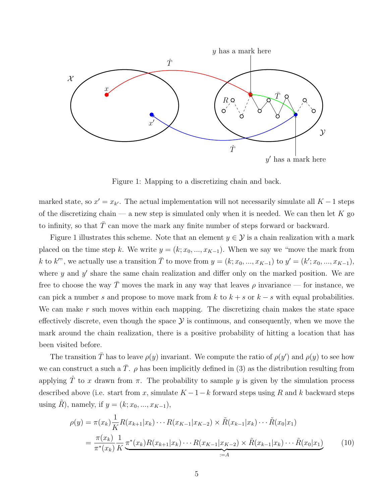

Figure 1: Mapping to a discretizing chain and back.

marked state, so  $x' = x_{k'}$ . The actual implementation will not necessarily simulate all  $K - 1$  steps of the discretizing chain — a new step is simulated only when it is needed. We can then let  $K$  go to infinity, so that  $\overline{T}$  can move the mark any finite number of steps forward or backward.

Figure 1 illustrates this scheme. Note that an element  $y \in \mathcal{Y}$  is a chain realization with a mark placed on the time step k. We write  $y = (k; x_0, ..., x_{K-1})$ . When we say we "move the mark from k to k'", we actually use a transition  $\overline{T}$  to move from  $y = (k; x_0, ..., x_{K-1})$  to  $y' = (k'; x_0, ..., x_{K-1})$ , where  $y$  and  $y'$  share the same chain realization and differ only on the marked position. We are free to choose the way  $\bar{T}$  moves the mark in any way that leaves  $\rho$  invariance — for instance, we can pick a number s and propose to move mark from k to  $k + s$  or  $k - s$  with equal probabilities. We can make  $r$  such moves within each mapping. The discretizing chain makes the state space effectively discrete, even though the space  $\mathcal Y$  is continuous, and consequently, when we move the mark around the chain realization, there is a positive probability of hitting a location that has been visited before.

The transition  $\bar{T}$  has to leave  $\rho(y)$  invariant. We compute the ratio of  $\rho(y')$  and  $\rho(y)$  to see how we can construct a such a  $\overline{T}$ .  $\rho$  has been implicitly defined in (3) as the distribution resulting from applying  $\hat{T}$  to x drawn from  $\pi$ . The probability to sample y is given by the simulation process described above (i.e. start from x, simulate  $K-1-k$  forward steps using R and k backward steps using  $\tilde{R}$ ), namely, if  $y = (k; x_0, ..., x_{K-1}),$ 

$$
\rho(y) = \pi(x_k) \frac{1}{K} R(x_{k+1}|x_k) \cdots R(x_{K-1}|x_{K-2}) \times \tilde{R}(x_{k-1}|x_k) \cdots \tilde{R}(x_0|x_1)
$$
  
= 
$$
\frac{\pi(x_k)}{\pi^*(x_k)} \frac{1}{K} \frac{\pi^*(x_k) R(x_{k+1}|x_k) \cdots R(x_{K-1}|x_{K-2}) \times \tilde{R}(x_{k-1}|x_k) \cdots \tilde{R}(x_0|x_1)}{\prod_{i=1}^{K} (x_i - x_{i})} \tag{10}
$$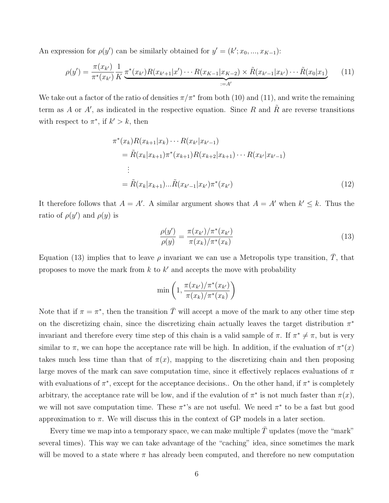An expression for  $\rho(y')$  can be similarly obtained for  $y' = (k'; x_0, ..., x_{K-1})$ :

$$
\rho(y') = \frac{\pi(x_{k'})}{\pi^*(x_{k'})} \frac{1}{K} \underbrace{\pi^*(x_{k'}) R(x_{k'+1}|x') \cdots R(x_{K-1}|x_{K-2}) \times \tilde{R}(x_{k'-1}|x_{k'}) \cdots \tilde{R}(x_0|x_1)}_{:=A'} \tag{11}
$$

We take out a factor of the ratio of densities  $\pi/\pi^*$  from both (10) and (11), and write the remaining term as A or A', as indicated in the respective equation. Since R and  $\tilde{R}$  are reverse transitions with respect to  $\pi^*$ , if  $k' > k$ , then

$$
\pi^*(x_k) R(x_{k+1}|x_k) \cdots R(x_{k'}|x_{k'-1})
$$
\n
$$
= \tilde{R}(x_k|x_{k+1}) \pi^*(x_{k+1}) R(x_{k+2}|x_{k+1}) \cdots R(x_{k'}|x_{k'-1})
$$
\n
$$
\vdots
$$
\n
$$
= \tilde{R}(x_k|x_{k+1}) \cdots \tilde{R}(x_{k'-1}|x_{k'}) \pi^*(x_{k'})
$$
\n(12)

It therefore follows that  $A = A'$ . A similar argument shows that  $A = A'$  when  $k' \leq k$ . Thus the ratio of  $\rho(y')$  and  $\rho(y)$  is

$$
\frac{\rho(y')}{\rho(y)} = \frac{\pi(x_{k'})/\pi^*(x_{k'})}{\pi(x_k)/\pi^*(x_k)}
$$
(13)

Equation (13) implies that to leave  $\rho$  invariant we can use a Metropolis type transition,  $\overline{T}$ , that proposes to move the mark from  $k$  to  $k'$  and accepts the move with probability

$$
\min\left(1, \frac{\pi(x_{k'})/\pi^*(x_{k'})}{\pi(x_k)/\pi^*(x_k)}\right)
$$

Note that if  $\pi = \pi^*$ , then the transition  $\overline{T}$  will accept a move of the mark to any other time step on the discretizing chain, since the discretizing chain actually leaves the target distribution  $\pi^*$ invariant and therefore every time step of this chain is a valid sample of  $\pi$ . If  $\pi^* \neq \pi$ , but is very similar to  $\pi$ , we can hope the acceptance rate will be high. In addition, if the evaluation of  $\pi^*(x)$ takes much less time than that of  $\pi(x)$ , mapping to the discretizing chain and then proposing large moves of the mark can save computation time, since it effectively replaces evaluations of  $\pi$ with evaluations of  $\pi^*$ , except for the acceptance decisions.. On the other hand, if  $\pi^*$  is completely arbitrary, the acceptance rate will be low, and if the evalution of  $\pi^*$  is not much faster than  $\pi(x)$ , we will not save computation time. These  $\pi^*$ 's are not useful. We need  $\pi^*$  to be a fast but good approximation to  $\pi$ . We will discuss this in the context of GP models in a later section.

Every time we map into a temporary space, we can make multiple  $\overline{T}$  updates (move the "mark" several times). This way we can take advantage of the "caching" idea, since sometimes the mark will be moved to a state where  $\pi$  has already been computed, and therefore no new computation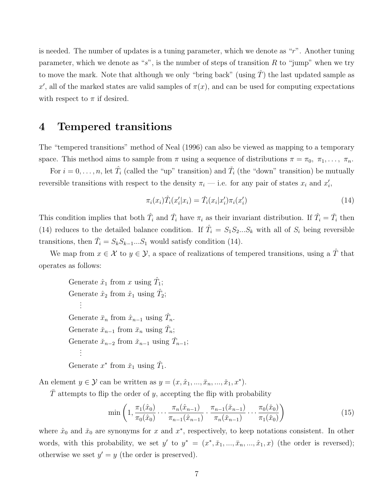is needed. The number of updates is a tuning parameter, which we denote as " $r$ ". Another tuning parameter, which we denote as "s", is the number of steps of transition R to "jump" when we try to move the mark. Note that although we only "bring back" (using  $\hat{T}$ ) the last updated sample as x', all of the marked states are valid samples of  $\pi(x)$ , and can be used for computing expectations with respect to  $\pi$  if desired.

## 4 Tempered transitions

The "tempered transitions" method of Neal (1996) can also be viewed as mapping to a temporary space. This method aims to sample from  $\pi$  using a sequence of distributions  $\pi = \pi_0, \pi_1, \ldots, \pi_n$ .

For  $i = 0, \ldots, n$ , let  $\hat{T}_i$  (called the "up" transition) and  $\check{T}_i$  (the "down" transition) be mutually reversible transitions with respect to the density  $\pi_i$  — i.e. for any pair of states  $x_i$  and  $x'_i$ ,

$$
\pi_i(x_i)\hat{T}_i(x_i'|x_i) = \check{T}_i(x_i|x_i')\pi_i(x_i')
$$
\n(14)

This condition implies that both  $\hat{T}_i$  and  $\check{T}_i$  have  $\pi_i$  as their invariant distribution. If  $\hat{T}_i = \check{T}_i$  then (14) reduces to the detailed balance condition. If  $\hat{T}_i = S_1 S_2 ... S_k$  with all of  $S_i$  being reversible transitions, then  $\tilde{T}_i = S_k S_{k-1} \dots S_1$  would satisfy condition (14).

We map from  $x \in \mathcal{X}$  to  $y \in \mathcal{Y}$ , a space of realizations of tempered transitions, using a  $\hat{T}$  that operates as follows:

Generate  $\hat{x}_1$  from x using  $\hat{T}_1$ ; Generate  $\hat{x}_2$  from  $\hat{x}_1$  using  $\hat{T}_2$ ; . . . Generate  $\bar{x}_n$  from  $\hat{x}_{n-1}$  using  $\hat{T}_n$ . Generate  $\check{x}_{n-1}$  from  $\bar{x}_n$  using  $\check{T}_n$ ; Generate  $\check{x}_{n-2}$  from  $\check{x}_{n-1}$  using  $\check{T}_{n-1}$ ; . . . Generate  $x^*$  from  $\check{x}_1$  using  $\check{T}_1$ .

An element  $y \in \mathcal{Y}$  can be written as  $y = (x, \hat{x}_1, ..., \hat{x}_n, ..., \hat{x}_1, x^*)$ .

 $\overline{T}$  attempts to flip the order of y, accepting the flip with probability

$$
\min\left(1, \frac{\pi_1(\hat{x}_0)}{\pi_0(\hat{x}_0)} \cdots \frac{\pi_n(\hat{x}_{n-1})}{\pi_{n-1}(\hat{x}_{n-1})} \cdot \frac{\pi_{n-1}(\check{x}_{n-1})}{\pi_n(\check{x}_{n-1})} \cdots \frac{\pi_0(\check{x}_0)}{\pi_1(\check{x}_0)}\right)
$$
(15)

where  $\hat{x}_0$  and  $\check{x}_0$  are synonyms for x and  $x^*$ , respectively, to keep notations consistent. In other words, with this probability, we set  $y'$  to  $y^* = (x^*, \tilde{x}_1, ..., \tilde{x}_n, ..., \hat{x}_1, x)$  (the order is reversed); otherwise we sset  $y' = y$  (the order is preserved).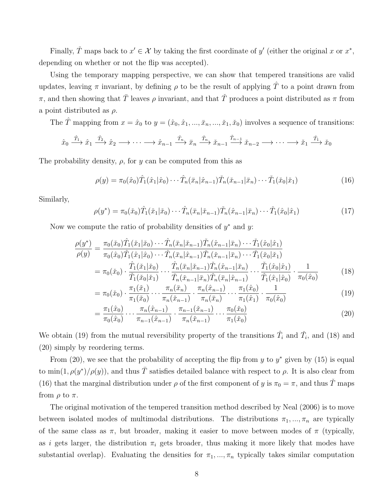Finally,  $\check{T}$  maps back to  $x' \in \mathcal{X}$  by taking the first coordinate of y' (either the original x or  $x^*$ , depending on whether or not the flip was accepted).

Using the temporary mapping perspective, we can show that tempered transitions are valid updates, leaving  $\pi$  invariant, by defining  $\rho$  to be the result of applying  $\hat{T}$  to a point drawn from π, and then showing that  $\overline{T}$  leaves  $\rho$  invariant, and that  $\overline{T}$  produces a point distributed as π from a point distributed as  $\rho$ .

The  $\hat{T}$  mapping from  $x = \hat{x}_0$  to  $y = (\hat{x}_0, \hat{x}_1, ..., \hat{x}_n, ..., \hat{x}_1, \hat{x}_0)$  involves a sequence of transitions:

$$
\hat{x}_0 \xrightarrow{\hat{T}_1} \hat{x}_1 \xrightarrow{\hat{T}_2} \hat{x}_2 \longrightarrow \cdots \longrightarrow \hat{x}_{n-1} \xrightarrow{\hat{T}_n} \bar{x}_n \xrightarrow{\check{T}_n} \check{x}_{n-1} \xrightarrow{\check{T}_{n-1}} \check{x}_{n-2} \longrightarrow \cdots \longrightarrow \check{x}_1 \xrightarrow{\check{T}_1} \check{x}_0
$$

The probability density,  $\rho$ , for y can be computed from this as

$$
\rho(y) = \pi_0(\hat{x}_0)\hat{T}_1(\hat{x}_1|\hat{x}_0)\cdots\hat{T}_n(\bar{x}_n|\hat{x}_{n-1})\check{T}_n(\check{x}_{n-1}|\bar{x}_n)\cdots\check{T}_1(\check{x}_0|\check{x}_1)
$$
(16)

Similarly,

$$
\rho(y^*) = \pi_0(\tilde{x}_0)\hat{T}_1(\tilde{x}_1|\tilde{x}_0)\cdots\hat{T}_n(\bar{x}_n|\tilde{x}_{n-1})\tilde{T}_n(\hat{x}_{n-1}|\bar{x}_n)\cdots\tilde{T}_1(\hat{x}_0|\hat{x}_1)
$$
(17)

Now we compute the ratio of probability densities of  $y^*$  and  $y$ .

$$
\frac{\rho(y^*)}{\rho(y)} = \frac{\pi_0(\check{x}_0)\hat{T}_1(\check{x}_1|\check{x}_0)\cdots\hat{T}_n(\bar{x}_n|\check{x}_{n-1})\check{T}_n(\hat{x}_{n-1}|\bar{x}_n)\cdots\check{T}_1(\hat{x}_0|\hat{x}_1)}{\pi_0(\hat{x}_0)\hat{T}_1(\hat{x}_1|\hat{x}_0)\cdots\hat{T}_n(\bar{x}_n|\hat{x}_{n-1})\check{T}_n(\check{x}_{n-1}|\bar{x}_n)\cdots\check{T}_1(\check{x}_0|\check{x}_1)} \\
= \pi_0(\check{x}_0)\cdot\frac{\hat{T}_1(\check{x}_1|\check{x}_0)}{\check{T}_1(\check{x}_0|\check{x}_1)}\cdots\frac{\hat{T}_n(\bar{x}_n|\check{x}_{n-1})\check{T}_n(\hat{x}_{n-1}|\bar{x}_n)}{\check{T}_n(\check{x}_{n-1}|\bar{x}_n)\hat{T}_n(\bar{x}_n|\hat{x}_{n-1})}\cdots\frac{\check{T}_1(\hat{x}_0|\hat{x}_1)}{\hat{T}_1(\hat{x}_1|\hat{x}_0)}\cdot\frac{1}{\pi_0(\hat{x}_0)}\n\tag{18}
$$

$$
= \pi_0(\check{x}_0) \cdot \frac{\pi_1(\check{x}_1)}{\pi_1(\check{x}_0)} \cdots \frac{\pi_n(\bar{x}_n)}{\pi_n(\check{x}_{n-1})} \cdot \frac{\pi_n(\hat{x}_{n-1})}{\pi_n(\bar{x}_n)} \cdots \frac{\pi_1(\hat{x}_0)}{\pi_1(\bar{x}_n)} \cdots \frac{\pi_1(\hat{x}_0)}{\pi_1(\hat{x}_1)} \cdot \frac{1}{\pi_0(\hat{x}_0)}
$$
(19)

$$
= \frac{\pi_1(\hat{x}_0)}{\pi_0(\hat{x}_0)} \cdots \frac{\pi_n(\hat{x}_{n-1})}{\pi_{n-1}(\hat{x}_{n-1})} \cdot \frac{\pi_{n-1}(\check{x}_{n-1})}{\pi_n(\check{x}_{n-1})} \cdots \frac{\pi_0(\check{x}_0)}{\pi_1(\check{x}_0)}
$$
(20)

We obtain (19) from the mutual reversibility property of the transitions  $\hat{T}_i$  and  $\check{T}_i$ , and (18) and (20) simply by reordering terms.

From  $(20)$ , we see that the probability of accepting the flip from y to  $y^*$  given by  $(15)$  is equal to  $\min(1, \rho(y^*)/\rho(y))$ , and thus  $\overline{T}$  satisfies detailed balance with respect to  $\rho$ . It is also clear from (16) that the marginal distribution under  $\rho$  of the first component of y is  $\pi_0 = \pi$ , and thus  $\check{T}$  maps from  $\rho$  to  $\pi$ .

The original motivation of the tempered transition method described by Neal (2006) is to move between isolated modes of multimodal distributions. The distributions  $\pi_1, ..., \pi_n$  are typically of the same class as  $\pi$ , but broader, making it easier to move between modes of  $\pi$  (typically, as i gets larger, the distribution  $\pi_i$  gets broader, thus making it more likely that modes have substantial overlap). Evaluating the densities for  $\pi_1, \ldots, \pi_n$  typically takes similar computation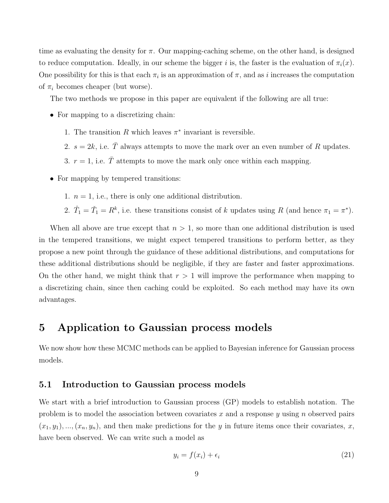time as evaluating the density for  $\pi$ . Our mapping-caching scheme, on the other hand, is designed to reduce computation. Ideally, in our scheme the bigger i is, the faster is the evaluation of  $\pi_i(x)$ . One possibility for this is that each  $\pi_i$  is an approximation of  $\pi$ , and as i increases the computation of  $\pi_i$  becomes cheaper (but worse).

The two methods we propose in this paper are equivalent if the following are all true:

- For mapping to a discretizing chain:
	- 1. The transition  $R$  which leaves  $\pi^*$  invariant is reversible.
	- 2.  $s = 2k$ , i.e.  $\overline{T}$  always attempts to move the mark over an even number of R updates.
	- 3.  $r = 1$ , i.e.  $\overline{T}$  attempts to move the mark only once within each mapping.
- For mapping by tempered transitions:
	- 1.  $n = 1$ , i.e., there is only one additional distribution.
	- 2.  $\hat{T}_1 = \check{T}_1 = R^k$ , i.e. these transitions consist of k updates using R (and hence  $\pi_1 = \pi^*$ ).

When all above are true except that  $n > 1$ , so more than one additional distribution is used in the tempered transitions, we might expect tempered transitions to perform better, as they propose a new point through the guidance of these additional distributions, and computations for these additional distributions should be negligible, if they are faster and faster approximations. On the other hand, we might think that  $r > 1$  will improve the performance when mapping to a discretizing chain, since then caching could be exploited. So each method may have its own advantages.

## 5 Application to Gaussian process models

We now show how these MCMC methods can be applied to Bayesian inference for Gaussian process models.

#### 5.1 Introduction to Gaussian process models

We start with a brief introduction to Gaussian process (GP) models to establish notation. The problem is to model the association between covariates x and a response y using n observed pairs  $(x_1, y_1), ..., (x_n, y_n)$ , and then make predictions for the y in future items once their covariates, x, have been observed. We can write such a model as

$$
y_i = f(x_i) + \epsilon_i \tag{21}
$$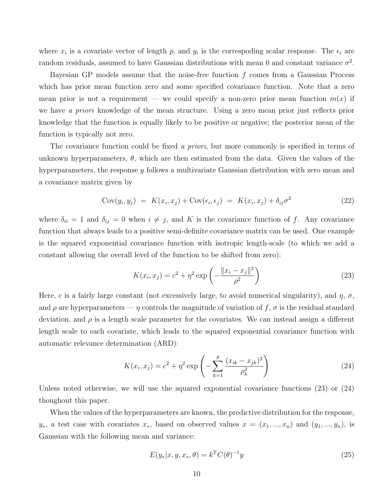where  $x_i$  is a covariate vector of length p, and  $y_i$  is the correspoding scalar response. The  $\epsilon_i$  are random residuals, assumed to have Gaussian distributions with mean 0 and constant variance  $\sigma^2$ .

Bayesian GP models assume that the noise-free function  $f$  comes from a Gaussian Process which has prior mean function zero and some specified covariance function. Note that a zero mean prior is not a requirement — we could specify a non-zero prior mean function  $m(x)$  if we have a priori knowledge of the mean structure. Using a zero mean prior just reflects prior knowledge that the function is equally likely to be positive or negative; the posterior mean of the function is typically not zero.

The covariance function could be fixed a priori, but more commonly is specified in terms of unknown hyperparameters,  $\theta$ , which are then estimated from the data. Given the values of the hyperparameters, the response y follows a multivariate Gaussian distribution with zero mean and a covariance matrix given by

$$
Cov(y_i, y_j) = K(x_i, x_j) + Cov(\epsilon_i, \epsilon_j) = K(x_i, x_j) + \delta_{ij}\sigma^2
$$
\n(22)

where  $\delta_{ii} = 1$  and  $\delta_{ij} = 0$  when  $i \neq j$ , and K is the covariance function of f. Any covariance function that always leads to a positive semi-definite covariance matrix can be used. One example is the squared exponential covariance function with isotropic length-scale (to which we add a constant allowing the overall level of the function to be shifted from zero):

$$
K(x_i, x_j) = c^2 + \eta^2 \exp\left(-\frac{\|x_i - x_j\|^2}{\rho^2}\right)
$$
 (23)

Here, c is a fairly large constant (not excessively large, to avoid numerical singularity), and  $\eta$ ,  $\sigma$ , and  $\rho$  are hyperparameters —  $\eta$  controls the magnitude of variation of  $f$ ,  $\sigma$  is the residual standard deviation, and  $\rho$  is a length scale parameter for the covariates. We can instead assign a different length scale to each covariate, which leads to the squared exponential covariance function with automatic relevance determination (ARD):

$$
K(x_i, x_j) = c^2 + \eta^2 \exp\left(-\sum_{k=1}^p \frac{(x_{ik} - x_{jk})^2}{\rho_k^2}\right)
$$
 (24)

Unless noted otherwise, we will use the squared exponential covariance functions (23) or (24) thoughout this paper.

When the values of the hyperparameters are known, the predictive distribution for the response,  $y_*$ , a test case with covariates  $x_*$ , based on observed values  $x = (x_1, ..., x_n)$  and  $(y_1, ..., y_n)$ , is Gaussian with the following mean and variance:

$$
E(y_*|x, y, x_*, \theta) = k^T C(\theta)^{-1} y \tag{25}
$$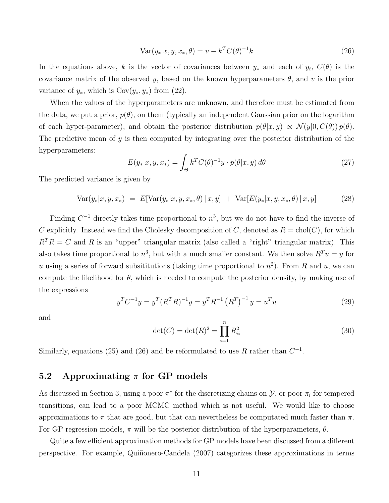$$
Var(y_*|x, y, x_*, \theta) = v - k^T C(\theta)^{-1} k
$$
\n(26)

In the equations above, k is the vector of covariances between  $y_*$  and each of  $y_i$ ,  $C(\theta)$  is the covariance matrix of the observed y, based on the known hyperparameters  $\theta$ , and v is the prior variance of  $y_*,$  which is  $Cov(y_*, y_*)$  from (22).

When the values of the hyperparameters are unknown, and therefore must be estimated from the data, we put a prior,  $p(\theta)$ , on them (typically an independent Gaussian prior on the logarithm of each hyper-parameter), and obtain the posterior distribution  $p(\theta|x, y) \propto \mathcal{N}(y|0, C(\theta)) p(\theta)$ . The predictive mean of  $y$  is then computed by integrating over the posterior distribution of the hyperparameters:

$$
E(y_*|x, y, x_*) = \int_{\Theta} k^T C(\theta)^{-1} y \cdot p(\theta|x, y) d\theta \qquad (27)
$$

The predicted variance is given by

$$
Var(y_*|x, y, x_*) = E[Var(y_*|x, y, x_*, \theta) | x, y] + Var[E(y_*|x, y, x_*, \theta) | x, y]
$$
(28)

Finding  $C^{-1}$  directly takes time proportional to  $n^3$ , but we do not have to find the inverse of C explicitly. Instead we find the Cholesky decomposition of C, denoted as  $R = \text{chol}(C)$ , for which  $R^{T}R = C$  and R is an "upper" triangular matrix (also called a "right" triangular matrix). This also takes time proportional to  $n^3$ , but with a much smaller constant. We then solve  $R^T u = y$  for u using a series of forward subsititutions (taking time proportional to  $n^2$ ). From R and u, we can compute the likelihood for  $\theta$ , which is needed to compute the posterior density, by making use of the expressions

$$
y^{T}C^{-1}y = y^{T}(R^{T}R)^{-1}y = y^{T}R^{-1}(R^{T})^{-1}y = u^{T}u
$$
\n(29)

and

$$
\det(C) = \det(R)^2 = \prod_{i=1}^n R_{ii}^2
$$
 (30)

Similarly, equations (25) and (26) and be reformulated to use R rather than  $C^{-1}$ .

### 5.2 Approximating  $\pi$  for GP models

As discussed in Section 3, using a poor  $\pi^*$  for the discretizing chains on  $\mathcal{Y}$ , or poor  $\pi_i$  for tempered transitions, can lead to a poor MCMC method which is not useful. We would like to choose approximations to  $\pi$  that are good, but that can nevertheless be computated much faster than  $\pi$ . For GP regression models,  $\pi$  will be the posterior distribution of the hyperparameters,  $\theta$ .

Quite a few efficient approximation methods for GP models have been discussed from a different perspective. For example, Quiñonero-Candela (2007) categorizes these approximations in terms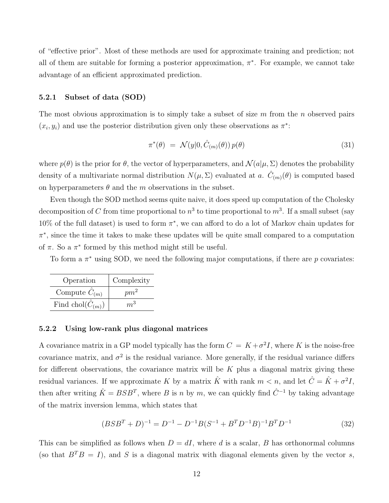of "effective prior". Most of these methods are used for approximate training and prediction; not all of them are suitable for forming a posterior approximation,  $\pi^*$ . For example, we cannot take advantage of an efficient approximated prediction.

#### 5.2.1 Subset of data (SOD)

The most obvious approximation is to simply take a subset of size  $m$  from the n observed pairs  $(x_i, y_i)$  and use the posterior distribution given only these observations as  $\pi^*$ :

$$
\pi^*(\theta) = \mathcal{N}(y|0, \hat{C}_{(m)}(\theta)) p(\theta) \tag{31}
$$

where  $p(\theta)$  is the prior for  $\theta$ , the vector of hyperparameters, and  $\mathcal{N}(a|\mu, \Sigma)$  denotes the probability density of a multivariate normal distribution  $N(\mu, \Sigma)$  evaluated at a.  $\hat{C}_{(m)}(\theta)$  is computed based on hyperparameters  $\theta$  and the m observations in the subset.

Even though the SOD method seems quite naive, it does speed up computation of the Cholesky decomposition of C from time proportional to  $n^3$  to time proportional to  $m^3$ . If a small subset (say 10% of the full dataset) is used to form  $\pi^*$ , we can afford to do a lot of Markov chain updates for  $\pi^*$ , since the time it takes to make these updates will be quite small compared to a computation of  $\pi$ . So a  $\pi^*$  formed by this method might still be useful.

To form a  $\pi^*$  using SOD, we need the following major computations, if there are p covariates:

| Operation                    | Complexity     |
|------------------------------|----------------|
| Compute $C_{(m)}$            | $pm^2$         |
| Find chol( $\hat{C}_{(m)}$ ) | m <sup>3</sup> |

#### 5.2.2 Using low-rank plus diagonal matrices

A covariance matrix in a GP model typically has the form  $C = K + \sigma^2 I$ , where K is the noise-free covariance matrix, and  $\sigma^2$  is the residual variance. More generally, if the residual variance differs for different observations, the covariance matrix will be  $K$  plus a diagonal matrix giving these residual variances. If we approximate K by a matrix  $\hat{K}$  with rank  $m < n$ , and let  $\hat{C} = \hat{K} + \sigma^2 I$ , then after writing  $\hat{K} = BSB^T$ , where B is n by m, we can quickly find  $\hat{C}^{-1}$  by taking advantage of the matrix inversion lemma, which states that

$$
(BSBT + D)-1 = D-1 - D-1B(S-1 + BTD-1B)-1BTD-1
$$
\n(32)

This can be simplified as follows when  $D = dI$ , where d is a scalar, B has orthonormal columns (so that  $B^T B = I$ ), and S is a diagonal matrix with diagonal elements given by the vector s,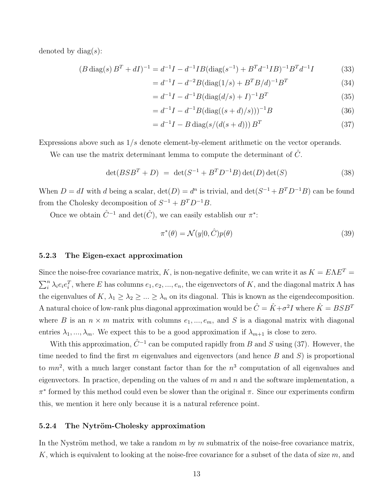denoted by  $\text{diag}(s)$ :

$$
(B \operatorname{diag}(s) B^T + dI)^{-1} = d^{-1}I - d^{-1}IB(\operatorname{diag}(s^{-1}) + B^T d^{-1}IB)^{-1} B^T d^{-1} I \tag{33}
$$

$$
=d^{-1}I - d^{-2}B(\text{diag}(1/s) + B^T B/d)^{-1}B^T
$$
\n(34)

$$
=d^{-1}I - d^{-1}B(\text{diag}(d/s) + I)^{-1}B^{T}
$$
\n(35)

$$
=d^{-1}I - d^{-1}B(\text{diag}((s+d)/s)))^{-1}B
$$
\n(36)

$$
= d^{-1}I - B \text{ diag}(s/(d(s+d))) B^T
$$
\n(37)

Expressions above such as  $1/s$  denote element-by-element arithmetic on the vector operands.

We can use the matrix determinant lemma to compute the determinant of  $\hat{C}$ .

$$
\det(BSB^T + D) = \det(S^{-1} + B^T D^{-1} B) \det(D) \det(S)
$$
\n(38)

When  $D = dI$  with d being a scalar,  $\det(D) = d^n$  is trivial, and  $\det(S^{-1} + B^T D^{-1}B)$  can be found from the Cholesky decomposition of  $S^{-1} + B^T D^{-1}B$ .

Once we obtain  $\hat{C}^{-1}$  and  $\det(\hat{C})$ , we can easily establish our  $\pi^*$ :

$$
\pi^*(\theta) = \mathcal{N}(y|0,\hat{C})p(\theta) \tag{39}
$$

#### 5.2.3 The Eigen-exact approximation

Since the noise-free covariance matrix, K, is non-negative definite, we can write it as  $K = E\Lambda E^{T} =$  $\sum_i^n \lambda_i e_i e_i^T$ , where E has columns  $e_1, e_2, ..., e_n$ , the eigenvectors of K, and the diagonal matrix  $\Lambda$  has the eigenvalues of  $K, \lambda_1 \geq \lambda_2 \geq ... \geq \lambda_n$  on its diagonal. This is known as the eigendecomposition. A natural choice of low-rank plus diagonal approximation would be  $\hat{C} = \hat{K} + \sigma^2 I$  where  $\hat{K} = BSB^T$ where B is an  $n \times m$  matrix with columns  $e_1, ..., e_m$ , and S is a diagonal matrix with diagonal entries  $\lambda_1, ..., \lambda_m$ . We expect this to be a good approximation if  $\lambda_{m+1}$  is close to zero.

With this approximation,  $\hat{C}^{-1}$  can be computed rapidly from B and S using (37). However, the time needed to find the first  $m$  eigenvalues and eigenvectors (and hence  $B$  and  $S$ ) is proportional to  $mn^2$ , with a much larger constant factor than for the  $n^3$  computation of all eigenvalues and eigenvectors. In practice, depending on the values of  $m$  and  $n$  and the software implementation, a  $\pi^*$  formed by this method could even be slower than the original  $\pi$ . Since our experiments confirm this, we mention it here only because it is a natural reference point.

#### 5.2.4 The Nytröm-Cholesky approximation

In the Nyström method, we take a random  $m$  by  $m$  submatrix of the noise-free covariance matrix, K, which is equivalent to looking at the noise-free covariance for a subset of the data of size  $m$ , and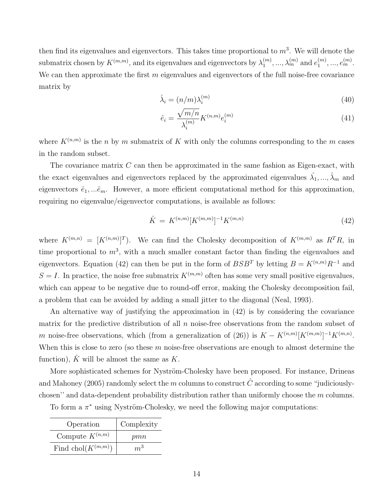then find its eigenvalues and eigenvectors. This takes time proportional to  $m^3$ . We will denote the submatrix chosen by  $K^{(m,m)}$ , and its eigenvalues and eigenvectors by  $\lambda_1^{(m)}$  $\lambda_1^{(m)}, \ldots, \lambda_m^{(m)}$  and  $e_1^{(m)}$  $\binom{m}{1}, \ldots, e_m^{(m)}$ . We can then approximate the first  $m$  eigenvalues and eigenvectors of the full noise-free covariance matrix by

$$
\hat{\lambda}_i = (n/m)\lambda_i^{(m)}\tag{40}
$$

$$
\hat{e}_i = \frac{\sqrt{m/n}}{\lambda_i^{(m)}} K^{(n,m)} e_i^{(m)} \tag{41}
$$

where  $K^{(n,m)}$  is the n by m submatrix of K with only the columns corresponding to the m cases in the random subset.

The covariance matrix  $C$  can then be approximated in the same fashion as Eigen-exact, with the exact eigenvalues and eigenvectors replaced by the approximated eigenvalues  $\hat{\lambda_1},...,\hat{\lambda}_m$  and eigenvectors  $\hat{e}_1, \dots, \hat{e}_m$ . However, a more efficient computational method for this approximation, requiring no eigenvalue/eigenvector computations, is available as follows:

$$
\hat{K} = K^{(n,m)}[K^{(m,m)}]^{-1}K^{(m,n)} \tag{42}
$$

where  $K^{(m,n)} = [K^{(n,m)}]^T$ . We can find the Cholesky decomposition of  $K^{(m,m)}$  as  $R^T R$ , in time proportional to  $m^3$ , with a much smaller constant factor than finding the eigenvalues and eigenvectors. Equation (42) can then be put in the form of  $BSB<sup>T</sup>$  by letting  $B = K<sup>(n,m)</sup>R<sup>-1</sup>$  and  $S = I$ . In practice, the noise free submatrix  $K^{(m,m)}$  often has some very small positive eigenvalues, which can appear to be negative due to round-off error, making the Cholesky decomposition fail, a problem that can be avoided by adding a small jitter to the diagonal (Neal, 1993).

An alternative way of justifying the approximation in (42) is by considering the covariance matrix for the predictive distribution of all  $n$  noise-free observations from the random subset of m noise-free observations, which (from a generalization of (26)) is  $K - K^{(n,m)}[K^{(m,m)}]^{-1}K^{(m,n)}$ . When this is close to zero (so these  $m$  noise-free observations are enough to almost determine the function),  $\hat{K}$  will be almost the same as  $K$ .

More sophisticated schemes for Nyström-Cholesky have been proposed. For instance, Drineas and Mahoney (2005) randomly select the m columns to construct  $\hat{C}$  according to some "judiciouslychosen'' and data-dependent probability distribution rather than uniformly choose the m columns.

| Operation                | Complexity |
|--------------------------|------------|
| Compute $K^{(n,m)}$      | pmn        |
| Find chol( $K^{(m,m)}$ ) | $m^3$      |

To form a  $\pi^*$  using Nyström-Cholesky, we need the following major computations: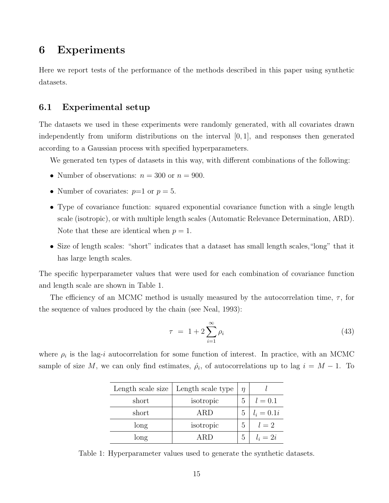# 6 Experiments

Here we report tests of the performance of the methods described in this paper using synthetic datasets.

### 6.1 Experimental setup

The datasets we used in these experiments were randomly generated, with all covariates drawn independently from uniform distributions on the interval  $[0, 1]$ , and responses then generated according to a Gaussian process with specified hyperparameters.

We generated ten types of datasets in this way, with different combinations of the following:

- Number of observations:  $n = 300$  or  $n = 900$ .
- Number of covariates:  $p=1$  or  $p=5$ .
- Type of covariance function: squared exponential covariance function with a single length scale (isotropic), or with multiple length scales (Automatic Relevance Determination, ARD). Note that these are identical when  $p = 1$ .
- Size of length scales: "short" indicates that a dataset has small length scales,"long" that it has large length scales.

The specific hyperparameter values that were used for each combination of covariance function and length scale are shown in Table 1.

The efficiency of an MCMC method is usually measured by the autocorrelation time,  $\tau$ , for the sequence of values produced by the chain (see Neal, 1993):

$$
\tau = 1 + 2 \sum_{i=1}^{\infty} \rho_i \tag{43}
$$

where  $\rho_i$  is the lag-*i* autocorrelation for some function of interest. In practice, with an MCMC sample of size M, we can only find estimates,  $\hat{\rho}_i$ , of autocorrelations up to lag  $i = M - 1$ . To

| Length scale size | Length scale type | $\eta$ |              |
|-------------------|-------------------|--------|--------------|
| short             | isotropic         | 5      | $l = 0.1$    |
| short             | ARD               | 5      | $l_i = 0.1i$ |
| long              | isotropic         | 5      | $l=2$        |
| long              | (IRI              | 5      | $l_i=2i$     |

Table 1: Hyperparameter values used to generate the synthetic datasets.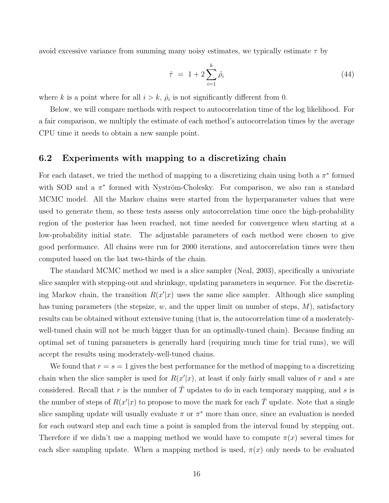avoid excessive variance from summing many noisy estimates, we typically estimate  $\tau$  by

$$
\hat{\tau} = 1 + 2 \sum_{i=1}^{k} \hat{\rho}_i \tag{44}
$$

where k is a point where for all  $i > k$ ,  $\hat{\rho}_i$  is not significantly different from 0.

Below, we will compare methods with respect to autocorrelation time of the log likelihood. For a fair comparison, we multiply the estimate of each method's autocorrelation times by the average CPU time it needs to obtain a new sample point.

### 6.2 Experiments with mapping to a discretizing chain

For each dataset, we tried the method of mapping to a discretizing chain using both a  $\pi^*$  formed with SOD and a  $\pi^*$  formed with Nyström-Cholesky. For comparison, we also ran a standard MCMC model. All the Markov chains were started from the hyperparameter values that were used to generate them, so these tests assess only autocorrelation time once the high-probability region of the posterior has been reached, not time needed for convergence when starting at a low-probability initial state. The adjustable parameters of each method were chosen to give good performance. All chains were run for 2000 iterations, and autocorrelation times were then computed based on the last two-thirds of the chain.

The standard MCMC method we used is a slice sampler (Neal, 2003), specifically a univariate slice sampler with stepping-out and shrinkage, updating parameters in sequence. For the discretizing Markov chain, the transition  $R(x'|x)$  uses the same slice sampler. Although slice sampling has tuning parameters (the stepsize,  $w$ , and the upper limit on number of steps,  $M$ ), satisfactory results can be obtained without extensive tuning (that is, the autocorrelation time of a moderatelywell-tuned chain will not be much bigger than for an optimally-tuned chain). Because finding an optimal set of tuning parameters is generally hard (requiring much time for trial runs), we will accept the results using moderately-well-tuned chains.

We found that  $r = s = 1$  gives the best performance for the method of mapping to a discretizing chain when the slice sampler is used for  $R(x'|x)$ , at least if only fairly small values of r and s are considered. Recall that r is the number of  $\overline{T}$  updates to do in each temporary mapping, and s is the number of steps of  $R(x'|x)$  to propose to move the mark for each  $\overline{T}$  update. Note that a single slice sampling update will usually evaluate  $\pi$  or  $\pi^*$  more than once, since an evaluation is needed for each outward step and each time a point is sampled from the interval found by stepping out. Therefore if we didn't use a mapping method we would have to compute  $\pi(x)$  several times for each slice sampling update. When a mapping method is used,  $\pi(x)$  only needs to be evaluated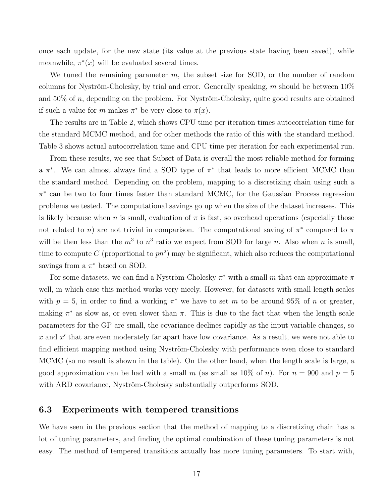once each update, for the new state (its value at the previous state having been saved), while meanwhile,  $\pi^*(x)$  will be evaluated several times.

We tuned the remaining parameter  $m$ , the subset size for SOD, or the number of random columns for Nyström-Cholesky, by trial and error. Generally speaking, m should be between  $10\%$ and  $50\%$  of n, depending on the problem. For Nyström-Cholesky, quite good results are obtained if such a value for m makes  $\pi^*$  be very close to  $\pi(x)$ .

The results are in Table 2, which shows CPU time per iteration times autocorrelation time for the standard MCMC method, and for other methods the ratio of this with the standard method. Table 3 shows actual autocorrelation time and CPU time per iteration for each experimental run.

From these results, we see that Subset of Data is overall the most reliable method for forming a  $\pi^*$ . We can almost always find a SOD type of  $\pi^*$  that leads to more efficient MCMC than the standard method. Depending on the problem, mapping to a discretizing chain using such a π ∗ can be two to four times faster than standard MCMC, for the Gaussian Process regression problems we tested. The computational savings go up when the size of the dataset increases. This is likely because when n is small, evaluation of  $\pi$  is fast, so overhead operations (especially those not related to n) are not trivial in comparison. The computational saving of  $\pi^*$  compared to  $\pi$ will be then less than the  $m^3$  to  $n^3$  ratio we expect from SOD for large n. Also when n is small, time to compute C (proportional to  $pn^2$ ) may be significant, which also reduces the computational savings from a  $\pi^*$  based on SOD.

For some datasets, we can find a Nyström-Cholesky  $\pi^*$  with a small m that can approximate  $\pi$ well, in which case this method works very nicely. However, for datasets with small length scales with  $p = 5$ , in order to find a working  $\pi^*$  we have to set m to be around 95% of n or greater, making  $\pi^*$  as slow as, or even slower than  $\pi$ . This is due to the fact that when the length scale parameters for the GP are small, the covariance declines rapidly as the input variable changes, so x and  $x'$  that are even moderately far apart have low covariance. As a result, we were not able to find efficient mapping method using Nyström-Cholesky with performance even close to standard MCMC (so no result is shown in the table). On the other hand, when the length scale is large, a good approximation can be had with a small m (as small as 10% of n). For  $n = 900$  and  $p = 5$ with ARD covariance, Nyström-Cholesky substantially outperforms SOD.

### 6.3 Experiments with tempered transitions

We have seen in the previous section that the method of mapping to a discretizing chain has a lot of tuning parameters, and finding the optimal combination of these tuning parameters is not easy. The method of tempered transitions actually has more tuning parameters. To start with,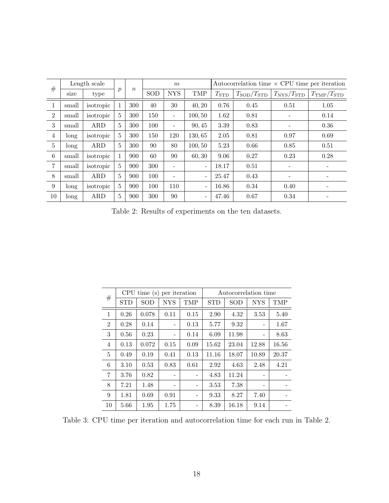| #              | Length scale |            |                  |                  | m   |                          |                          | Autocorrelation time $\times$ CPU time per iteration |                           |                           |                           |
|----------------|--------------|------------|------------------|------------------|-----|--------------------------|--------------------------|------------------------------------------------------|---------------------------|---------------------------|---------------------------|
|                | size         | type       | $\boldsymbol{p}$ | $\boldsymbol{n}$ | SOD | <b>NYS</b>               | <b>TMP</b>               | $T_{\rm STD}$                                        | $T_{\rm SOD}/T_{\rm STD}$ | $T_{\rm NYS}/T_{\rm STD}$ | $T_{\rm TMP}/T_{\rm STD}$ |
| 1              | small        | isotropic  | $\mathbf{1}$     | 300              | 40  | 30                       | 40, 20                   | 0.76                                                 | 0.45                      | 0.51                      | 1.05                      |
| $\overline{2}$ | small        | isotropic  | 5                | 300              | 150 | $\overline{\phantom{0}}$ | 100, 50                  | 1.62                                                 | 0.81                      | $\qquad \qquad -$         | 0.14                      |
| 3              | small        | ARD        | 5                | 300              | 100 |                          | 90, 45                   | 3.39                                                 | 0.83                      | $\overline{\phantom{a}}$  | 0.36                      |
| $\overline{4}$ | long         | isotropic  | 5                | 300              | 150 | 120                      | 130,65                   | $2.05\,$                                             | 0.81                      | 0.97                      | 0.69                      |
| $\overline{5}$ | long         | <b>ARD</b> | $\overline{5}$   | 300              | 90  | 80                       | 100, 50                  | 5.23                                                 | 0.66                      | 0.85                      | 0.51                      |
| 6              | small        | isotropic  | $\mathbf{1}$     | 900              | 60  | 90                       | 60, 30                   | 9.06                                                 | 0.27                      | 0.23                      | 0.28                      |
| $\overline{7}$ | small        | isotropic  | 5                | 900              | 300 |                          | $\overline{\phantom{a}}$ | 18.17                                                | 0.51                      | $\overline{\phantom{a}}$  |                           |
| 8              | small        | <b>ARD</b> | 5                | 900              | 100 |                          | $\overline{\phantom{a}}$ | 25.47                                                | 0.43                      | $\qquad \qquad -$         | $\qquad \qquad$           |
| 9              | long         | isotropic  | $\overline{5}$   | 900              | 100 | 110                      | $\overline{\phantom{a}}$ | 16.86                                                | 0.34                      | 0.40                      |                           |
| 10             | long         | <b>ARD</b> | 5                | 900              | 300 | 90                       |                          | 47.46                                                | 0.67                      | 0.34                      |                           |

Table 2: Results of experiments on the ten datasets.

|                |                   | CPU time(s) per iteration |            |      | Autocorrelation time |       |            |       |  |  |
|----------------|-------------------|---------------------------|------------|------|----------------------|-------|------------|-------|--|--|
| #              | $_{\mathrm{STD}}$ | SOD                       | <b>NYS</b> | TMP  | <b>STD</b>           | SOD   | <b>NYS</b> | TMP   |  |  |
| 1              | 0.26              | 0.078                     | 0.11       | 0.15 | 2.90                 | 4.32  | 3.53       | 5.40  |  |  |
| $\overline{2}$ | 0.28              | 0.14                      |            | 0.13 | 5.77                 | 9.32  |            | 1.67  |  |  |
| 3              | 0.56              | 0.23                      |            | 0.14 | 6.09                 | 11.98 |            | 8.63  |  |  |
| $\overline{4}$ | 0.13              | 0.072                     | 0.15       | 0.09 | 15.62                | 23.04 | 12.88      | 16.56 |  |  |
| 5              | 0.49              | 0.19                      | 0.41       | 0.13 | 11.16                | 18.07 | 10.89      | 20.37 |  |  |
| 6              | 3.10              | 0.53                      | 0.83       | 0.61 | 2.92                 | 4.63  | 2.48       | 4.21  |  |  |
| 7              | 3.76              | 0.82                      |            |      | 4.83                 | 11.24 |            |       |  |  |
| 8              | 7.21              | 1.48                      |            |      | 3.53                 | 7.38  |            |       |  |  |
| 9              | 1.81              | 0.69                      | 0.91       |      | 9.33                 | 8.27  | 7.40       |       |  |  |
| 10             | 5.66              | 1.95                      | 1.75       |      | 8.39                 | 16.18 | 9.14       |       |  |  |

Table 3: CPU time per iteration and autocorrelation time for each run in Table 2.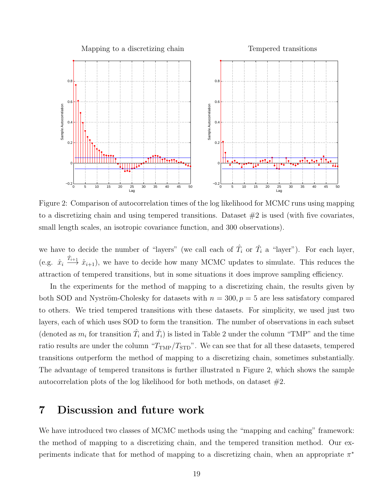

Figure 2: Comparison of autocorrelation times of the log likelihood for MCMC runs using mapping to a discretizing chain and using tempered transitions. Dataset  $#2$  is used (with five covariates, small length scales, an isotropic covariance function, and 300 observations).

we have to decide the number of "layers" (we call each of  $\hat{T}_i$  or  $\check{T}_i$  a "layer"). For each layer, (e.g.  $\hat{x}_i \xrightarrow{\hat{T}_{i+1}} \hat{x}_{i+1}$ ), we have to decide how many MCMC updates to simulate. This reduces the attraction of tempered transitions, but in some situations it does improve sampling efficiency.

In the experiments for the method of mapping to a discretizing chain, the results given by both SOD and Nyström-Cholesky for datasets with  $n = 300, p = 5$  are less satisfatory compared to others. We tried tempered transitions with these datasets. For simplicity, we used just two layers, each of which uses SOD to form the transition. The number of observations in each subset (denoted as  $m_i$  for transition  $\hat{T}_i$  and  $\check{T}_i$ ) is listed in Table 2 under the column "TMP" and the time ratio results are under the column " $T_{\text{TMP}}/T_{\text{STD}}$ ". We can see that for all these datasets, tempered transitions outperform the method of mapping to a discretizing chain, sometimes substantially. The advantage of tempered transitons is further illustrated n Figure 2, which shows the sample autocorrelation plots of the log likelihood for both methods, on dataset #2.

# 7 Discussion and future work

We have introduced two classes of MCMC methods using the "mapping and caching" framework: the method of mapping to a discretizing chain, and the tempered transition method. Our experiments indicate that for method of mapping to a discretizing chain, when an appropriate  $\pi^*$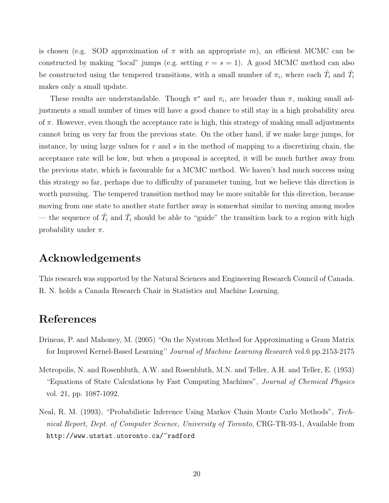is chosen (e.g. SOD approximation of  $\pi$  with an appropriate m), an efficient MCMC can be constructed by making "local" jumps (e.g. setting  $r = s = 1$ ). A good MCMC method can also be constructed using the tempered transitions, with a small number of  $\pi_i$ , where each  $\hat{T}_i$  and  $\check{T}_i$ makes only a small update.

These results are understandable. Though  $\pi^*$  and  $\pi_i$ , are broader than  $\pi$ , making small adjustments a small number of times will have a good chance to still stay in a high probability area of  $\pi$ . However, even though the acceptance rate is high, this strategy of making small adjustments cannot bring us very far from the previous state. On the other hand, if we make large jumps, for instance, by using large values for  $r$  and  $s$  in the method of mapping to a discretizing chain, the acceptance rate will be low, but when a proposal is accepted, it will be much further away from the previous state, which is favourable for a MCMC method. We haven't had much success using this strategy so far, perhaps due to difficulty of parameter tuning, but we believe this direction is worth pursuing. The tempered transition method may be more suitable for this direction, because moving from one state to another state further away is somewhat similar to moving among modes — the sequence of  $\hat{T}_i$  and  $\check{T}_i$  should be able to "guide" the transition back to a region with high probability under  $\pi$ .

### Acknowledgements

This research was supported by the Natural Sciences and Engineering Research Council of Canada. R. N. holds a Canada Research Chair in Statistics and Machine Learning.

# References

- Drineas, P. and Mahoney, M. (2005) "On the Nystrom Method for Approximating a Gram Matrix for Improved Kernel-Based Learning'' Journal of Machine Learning Research vol.6 pp.2153-2175
- Metropolis, N. and Rosenbluth, A.W. and Rosenbluth, M.N. and Teller, A.H. and Teller, E. (1953) "Equations of State Calculations by Fast Computing Machines", Journal of Chemical Physics vol. 21, pp. 1087-1092.
- Neal, R. M. (1993), "Probabilistic Inference Using Markov Chain Monte Carlo Methods", Technical Report, Dept. of Computer Science, University of Toronto, CRG-TR-93-1, Available from http://www.utstat.utoronto.ca/~radford